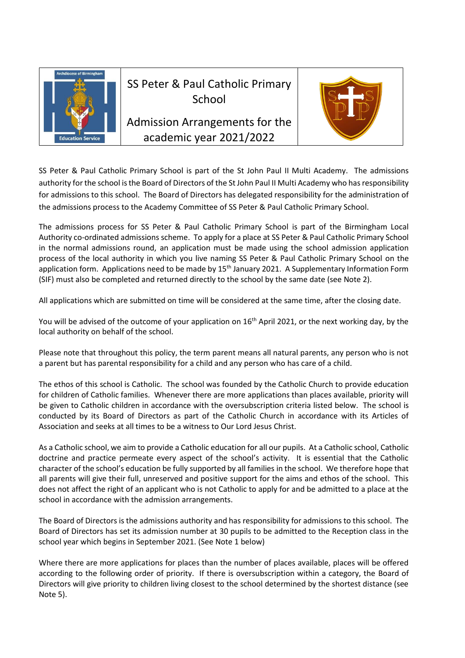

# SS Peter & Paul Catholic Primary School

Admission Arrangements for the academic year 2021/2022



SS Peter & Paul Catholic Primary School is part of the St John Paul II Multi Academy. The admissions authority for the school is the Board of Directors of the St John Paul II Multi Academy who has responsibility for admissions to this school. The Board of Directors has delegated responsibility for the administration of the admissions process to the Academy Committee of SS Peter & Paul Catholic Primary School.

The admissions process for SS Peter & Paul Catholic Primary School is part of the Birmingham Local Authority co-ordinated admissions scheme. To apply for a place at SS Peter & Paul Catholic Primary School in the normal admissions round, an application must be made using the school admission application process of the local authority in which you live naming SS Peter & Paul Catholic Primary School on the application form. Applications need to be made by 15<sup>th</sup> January 2021. A Supplementary Information Form (SIF) must also be completed and returned directly to the school by the same date (see Note 2).

All applications which are submitted on time will be considered at the same time, after the closing date.

You will be advised of the outcome of your application on 16<sup>th</sup> April 2021, or the next working day, by the local authority on behalf of the school.

Please note that throughout this policy, the term parent means all natural parents, any person who is not a parent but has parental responsibility for a child and any person who has care of a child.

The ethos of this school is Catholic. The school was founded by the Catholic Church to provide education for children of Catholic families. Whenever there are more applications than places available, priority will be given to Catholic children in accordance with the oversubscription criteria listed below. The school is conducted by its Board of Directors as part of the Catholic Church in accordance with its Articles of Association and seeks at all times to be a witness to Our Lord Jesus Christ.

As a Catholic school, we aim to provide a Catholic education for all our pupils. At a Catholic school, Catholic doctrine and practice permeate every aspect of the school's activity. It is essential that the Catholic character of the school's education be fully supported by all families in the school. We therefore hope that all parents will give their full, unreserved and positive support for the aims and ethos of the school. This does not affect the right of an applicant who is not Catholic to apply for and be admitted to a place at the school in accordance with the admission arrangements.

The Board of Directors is the admissions authority and has responsibility for admissions to this school. The Board of Directors has set its admission number at 30 pupils to be admitted to the Reception class in the school year which begins in September 2021. (See Note 1 below)

Where there are more applications for places than the number of places available, places will be offered according to the following order of priority. If there is oversubscription within a category, the Board of Directors will give priority to children living closest to the school determined by the shortest distance (see Note 5).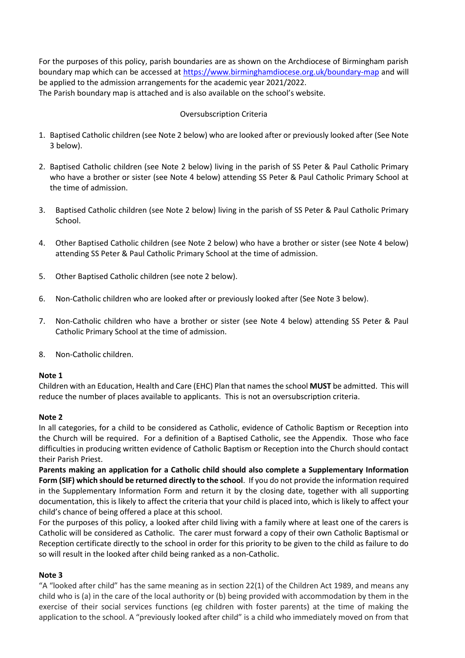For the purposes of this policy, parish boundaries are as shown on the Archdiocese of Birmingham parish boundary map which can be accessed at<https://www.birminghamdiocese.org.uk/boundary-map> and will be applied to the admission arrangements for the academic year 2021/2022. The Parish boundary map is attached and is also available on the school's website.

# Oversubscription Criteria

- 1. Baptised Catholic children (see Note 2 below) who are looked after or previously looked after (See Note 3 below).
- 2. Baptised Catholic children (see Note 2 below) living in the parish of SS Peter & Paul Catholic Primary who have a brother or sister (see Note 4 below) attending SS Peter & Paul Catholic Primary School at the time of admission.
- 3. Baptised Catholic children (see Note 2 below) living in the parish of SS Peter & Paul Catholic Primary School.
- 4. Other Baptised Catholic children (see Note 2 below) who have a brother or sister (see Note 4 below) attending SS Peter & Paul Catholic Primary School at the time of admission.
- 5. Other Baptised Catholic children (see note 2 below).
- 6. Non-Catholic children who are looked after or previously looked after (See Note 3 below).
- 7. Non-Catholic children who have a brother or sister (see Note 4 below) attending SS Peter & Paul Catholic Primary School at the time of admission.
- 8. Non-Catholic children.

# **Note 1**

Children with an Education, Health and Care (EHC) Plan that names the school **MUST** be admitted. This will reduce the number of places available to applicants. This is not an oversubscription criteria.

# **Note 2**

In all categories, for a child to be considered as Catholic, evidence of Catholic Baptism or Reception into the Church will be required. For a definition of a Baptised Catholic, see the Appendix. Those who face difficulties in producing written evidence of Catholic Baptism or Reception into the Church should contact their Parish Priest.

**Parents making an application for a Catholic child should also complete a Supplementary Information Form (SIF) which should be returned directly to the school**. If you do not provide the information required in the Supplementary Information Form and return it by the closing date, together with all supporting documentation, this is likely to affect the criteria that your child is placed into, which is likely to affect your child's chance of being offered a place at this school.

For the purposes of this policy, a looked after child living with a family where at least one of the carers is Catholic will be considered as Catholic. The carer must forward a copy of their own Catholic Baptismal or Reception certificate directly to the school in order for this priority to be given to the child as failure to do so will result in the looked after child being ranked as a non-Catholic.

# **Note 3**

"A "looked after child" has the same meaning as in section 22(1) of the Children Act 1989, and means any child who is (a) in the care of the local authority or (b) being provided with accommodation by them in the exercise of their social services functions (eg children with foster parents) at the time of making the application to the school. A "previously looked after child" is a child who immediately moved on from that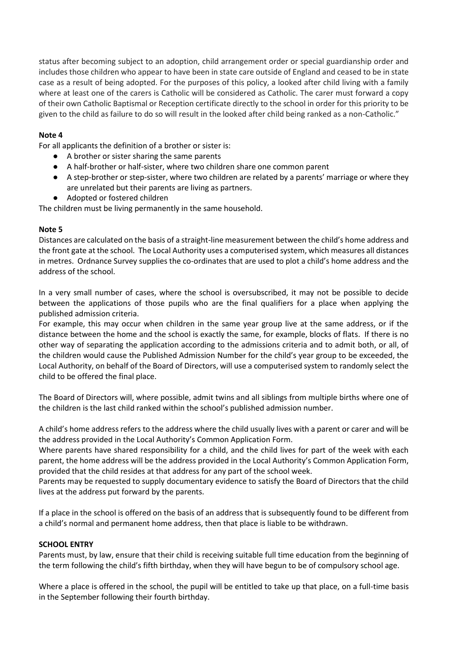status after becoming subject to an adoption, child arrangement order or special guardianship order and includes those children who appear to have been in state care outside of England and ceased to be in state case as a result of being adopted. For the purposes of this policy, a looked after child living with a family where at least one of the carers is Catholic will be considered as Catholic. The carer must forward a copy of their own Catholic Baptismal or Reception certificate directly to the school in order for this priority to be given to the child as failure to do so will result in the looked after child being ranked as a non-Catholic."

# **Note 4**

For all applicants the definition of a brother or sister is:

- A brother or sister sharing the same parents
- A half-brother or half-sister, where two children share one common parent
- A step-brother or step-sister, where two children are related by a parents' marriage or where they are unrelated but their parents are living as partners.
- Adopted or fostered children

The children must be living permanently in the same household.

# **Note 5**

Distances are calculated on the basis of a straight-line measurement between the child's home address and the front gate at the school. The Local Authority uses a computerised system, which measures all distances in metres. Ordnance Survey supplies the co-ordinates that are used to plot a child's home address and the address of the school.

In a very small number of cases, where the school is oversubscribed, it may not be possible to decide between the applications of those pupils who are the final qualifiers for a place when applying the published admission criteria.

For example, this may occur when children in the same year group live at the same address, or if the distance between the home and the school is exactly the same, for example, blocks of flats. If there is no other way of separating the application according to the admissions criteria and to admit both, or all, of the children would cause the Published Admission Number for the child's year group to be exceeded, the Local Authority, on behalf of the Board of Directors, will use a computerised system to randomly select the child to be offered the final place.

The Board of Directors will, where possible, admit twins and all siblings from multiple births where one of the children is the last child ranked within the school's published admission number.

A child's home address refers to the address where the child usually lives with a parent or carer and will be the address provided in the Local Authority's Common Application Form.

Where parents have shared responsibility for a child, and the child lives for part of the week with each parent, the home address will be the address provided in the Local Authority's Common Application Form, provided that the child resides at that address for any part of the school week.

Parents may be requested to supply documentary evidence to satisfy the Board of Directors that the child lives at the address put forward by the parents.

If a place in the school is offered on the basis of an address that is subsequently found to be different from a child's normal and permanent home address, then that place is liable to be withdrawn.

# **SCHOOL ENTRY**

Parents must, by law, ensure that their child is receiving suitable full time education from the beginning of the term following the child's fifth birthday, when they will have begun to be of compulsory school age.

Where a place is offered in the school, the pupil will be entitled to take up that place, on a full-time basis in the September following their fourth birthday.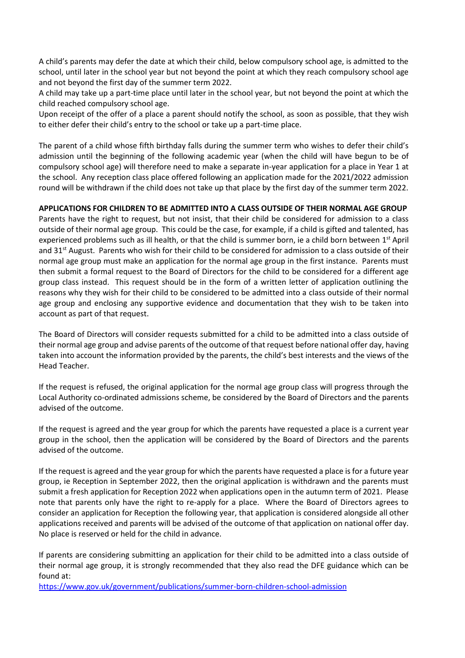A child's parents may defer the date at which their child, below compulsory school age, is admitted to the school, until later in the school year but not beyond the point at which they reach compulsory school age and not beyond the first day of the summer term 2022.

A child may take up a part-time place until later in the school year, but not beyond the point at which the child reached compulsory school age.

Upon receipt of the offer of a place a parent should notify the school, as soon as possible, that they wish to either defer their child's entry to the school or take up a part-time place.

The parent of a child whose fifth birthday falls during the summer term who wishes to defer their child's admission until the beginning of the following academic year (when the child will have begun to be of compulsory school age) will therefore need to make a separate in-year application for a place in Year 1 at the school. Any reception class place offered following an application made for the 2021/2022 admission round will be withdrawn if the child does not take up that place by the first day of the summer term 2022.

# **APPLICATIONS FOR CHILDREN TO BE ADMITTED INTO A CLASS OUTSIDE OF THEIR NORMAL AGE GROUP**

Parents have the right to request, but not insist, that their child be considered for admission to a class outside of their normal age group. This could be the case, for example, if a child is gifted and talented, has experienced problems such as ill health, or that the child is summer born, ie a child born between 1<sup>st</sup> April and 31<sup>st</sup> August. Parents who wish for their child to be considered for admission to a class outside of their normal age group must make an application for the normal age group in the first instance. Parents must then submit a formal request to the Board of Directors for the child to be considered for a different age group class instead. This request should be in the form of a written letter of application outlining the reasons why they wish for their child to be considered to be admitted into a class outside of their normal age group and enclosing any supportive evidence and documentation that they wish to be taken into account as part of that request.

The Board of Directors will consider requests submitted for a child to be admitted into a class outside of their normal age group and advise parents of the outcome of that request before national offer day, having taken into account the information provided by the parents, the child's best interests and the views of the Head Teacher.

If the request is refused, the original application for the normal age group class will progress through the Local Authority co-ordinated admissions scheme, be considered by the Board of Directors and the parents advised of the outcome.

If the request is agreed and the year group for which the parents have requested a place is a current year group in the school, then the application will be considered by the Board of Directors and the parents advised of the outcome.

If the request is agreed and the year group for which the parents have requested a place is for a future year group, ie Reception in September 2022, then the original application is withdrawn and the parents must submit a fresh application for Reception 2022 when applications open in the autumn term of 2021. Please note that parents only have the right to re-apply for a place. Where the Board of Directors agrees to consider an application for Reception the following year, that application is considered alongside all other applications received and parents will be advised of the outcome of that application on national offer day. No place is reserved or held for the child in advance.

If parents are considering submitting an application for their child to be admitted into a class outside of their normal age group, it is strongly recommended that they also read the DFE guidance which can be found at:

<https://www.gov.uk/government/publications/summer-born-children-school-admission>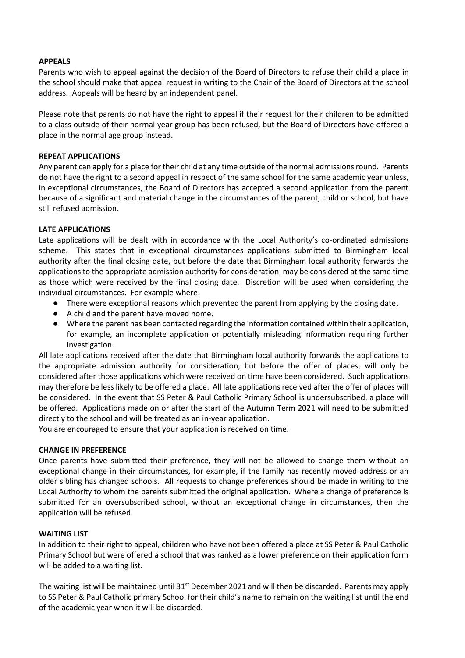#### **APPEALS**

Parents who wish to appeal against the decision of the Board of Directors to refuse their child a place in the school should make that appeal request in writing to the Chair of the Board of Directors at the school address. Appeals will be heard by an independent panel.

Please note that parents do not have the right to appeal if their request for their children to be admitted to a class outside of their normal year group has been refused, but the Board of Directors have offered a place in the normal age group instead.

#### **REPEAT APPLICATIONS**

Any parent can apply for a place for their child at any time outside of the normal admissions round. Parents do not have the right to a second appeal in respect of the same school for the same academic year unless, in exceptional circumstances, the Board of Directors has accepted a second application from the parent because of a significant and material change in the circumstances of the parent, child or school, but have still refused admission.

# **LATE APPLICATIONS**

Late applications will be dealt with in accordance with the Local Authority's co-ordinated admissions scheme. This states that in exceptional circumstances applications submitted to Birmingham local authority after the final closing date, but before the date that Birmingham local authority forwards the applications to the appropriate admission authority for consideration, may be considered at the same time as those which were received by the final closing date. Discretion will be used when considering the individual circumstances. For example where:

- There were exceptional reasons which prevented the parent from applying by the closing date.
- A child and the parent have moved home.
- Where the parent has been contacted regarding the information contained within their application, for example, an incomplete application or potentially misleading information requiring further investigation.

All late applications received after the date that Birmingham local authority forwards the applications to the appropriate admission authority for consideration, but before the offer of places, will only be considered after those applications which were received on time have been considered. Such applications may therefore be less likely to be offered a place. All late applications received after the offer of places will be considered. In the event that SS Peter & Paul Catholic Primary School is undersubscribed, a place will be offered. Applications made on or after the start of the Autumn Term 2021 will need to be submitted directly to the school and will be treated as an in-year application.

You are encouraged to ensure that your application is received on time.

# **CHANGE IN PREFERENCE**

Once parents have submitted their preference, they will not be allowed to change them without an exceptional change in their circumstances, for example, if the family has recently moved address or an older sibling has changed schools. All requests to change preferences should be made in writing to the Local Authority to whom the parents submitted the original application. Where a change of preference is submitted for an oversubscribed school, without an exceptional change in circumstances, then the application will be refused.

# **WAITING LIST**

In addition to their right to appeal, children who have not been offered a place at SS Peter & Paul Catholic Primary School but were offered a school that was ranked as a lower preference on their application form will be added to a waiting list.

The waiting list will be maintained until 31<sup>st</sup> December 2021 and will then be discarded. Parents may apply to SS Peter & Paul Catholic primary School for their child's name to remain on the waiting list until the end of the academic year when it will be discarded.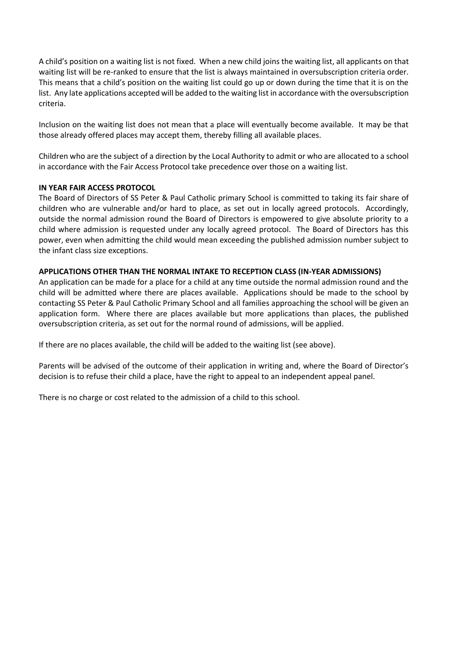A child's position on a waiting list is not fixed. When a new child joins the waiting list, all applicants on that waiting list will be re-ranked to ensure that the list is always maintained in oversubscription criteria order. This means that a child's position on the waiting list could go up or down during the time that it is on the list. Any late applications accepted will be added to the waiting list in accordance with the oversubscription criteria.

Inclusion on the waiting list does not mean that a place will eventually become available. It may be that those already offered places may accept them, thereby filling all available places.

Children who are the subject of a direction by the Local Authority to admit or who are allocated to a school in accordance with the Fair Access Protocol take precedence over those on a waiting list.

# **IN YEAR FAIR ACCESS PROTOCOL**

The Board of Directors of SS Peter & Paul Catholic primary School is committed to taking its fair share of children who are vulnerable and/or hard to place, as set out in locally agreed protocols. Accordingly, outside the normal admission round the Board of Directors is empowered to give absolute priority to a child where admission is requested under any locally agreed protocol. The Board of Directors has this power, even when admitting the child would mean exceeding the published admission number subject to the infant class size exceptions.

# **APPLICATIONS OTHER THAN THE NORMAL INTAKE TO RECEPTION CLASS (IN-YEAR ADMISSIONS)**

An application can be made for a place for a child at any time outside the normal admission round and the child will be admitted where there are places available. Applications should be made to the school by contacting SS Peter & Paul Catholic Primary School and all families approaching the school will be given an application form. Where there are places available but more applications than places, the published oversubscription criteria, as set out for the normal round of admissions, will be applied.

If there are no places available, the child will be added to the waiting list (see above).

Parents will be advised of the outcome of their application in writing and, where the Board of Director's decision is to refuse their child a place, have the right to appeal to an independent appeal panel.

There is no charge or cost related to the admission of a child to this school.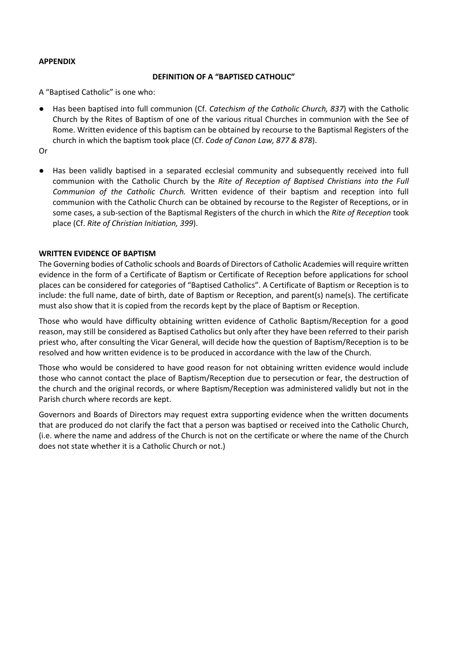#### **APPENDIX**

#### **DEFINITION OF A "BAPTISED CATHOLIC"**

A "Baptised Catholic" is one who:

● Has been baptised into full communion (Cf. *Catechism of the Catholic Church, 837*) with the Catholic Church by the Rites of Baptism of one of the various ritual Churches in communion with the See of Rome. Written evidence of this baptism can be obtained by recourse to the Baptismal Registers of the church in which the baptism took place (Cf. *Code of Canon Law, 877 & 878*).

Or

● Has been validly baptised in a separated ecclesial community and subsequently received into full communion with the Catholic Church by the *Rite of Reception of Baptised Christians into the Full Communion of the Catholic Church.* Written evidence of their baptism and reception into full communion with the Catholic Church can be obtained by recourse to the Register of Receptions, or in some cases, a sub-section of the Baptismal Registers of the church in which the *Rite of Reception* took place (Cf. *Rite of Christian Initiation, 399*).

# **WRITTEN EVIDENCE OF BAPTISM**

The Governing bodies of Catholic schools and Boards of Directors of Catholic Academies will require written evidence in the form of a Certificate of Baptism or Certificate of Reception before applications for school places can be considered for categories of "Baptised Catholics". A Certificate of Baptism or Reception is to include: the full name, date of birth, date of Baptism or Reception, and parent(s) name(s). The certificate must also show that it is copied from the records kept by the place of Baptism or Reception.

Those who would have difficulty obtaining written evidence of Catholic Baptism/Reception for a good reason, may still be considered as Baptised Catholics but only after they have been referred to their parish priest who, after consulting the Vicar General, will decide how the question of Baptism/Reception is to be resolved and how written evidence is to be produced in accordance with the law of the Church.

Those who would be considered to have good reason for not obtaining written evidence would include those who cannot contact the place of Baptism/Reception due to persecution or fear, the destruction of the church and the original records, or where Baptism/Reception was administered validly but not in the Parish church where records are kept.

Governors and Boards of Directors may request extra supporting evidence when the written documents that are produced do not clarify the fact that a person was baptised or received into the Catholic Church, (i.e. where the name and address of the Church is not on the certificate or where the name of the Church does not state whether it is a Catholic Church or not.)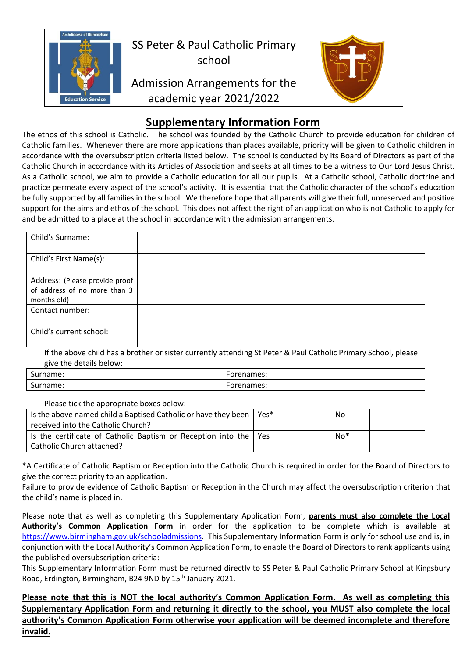

# **Supplementary Information Form**

The ethos of this school is Catholic. The school was founded by the Catholic Church to provide education for children of Catholic families. Whenever there are more applications than places available, priority will be given to Catholic children in accordance with the oversubscription criteria listed below. The school is conducted by its Board of Directors as part of the Catholic Church in accordance with its Articles of Association and seeks at all times to be a witness to Our Lord Jesus Christ. As a Catholic school, we aim to provide a Catholic education for all our pupils. At a Catholic school, Catholic doctrine and practice permeate every aspect of the school's activity. It is essential that the Catholic character of the school's education be fully supported by all families in the school. We therefore hope that all parents will give their full, unreserved and positive support for the aims and ethos of the school. This does not affect the right of an application who is not Catholic to apply for and be admitted to a place at the school in accordance with the admission arrangements.

| Child's Surname:                                                              |  |
|-------------------------------------------------------------------------------|--|
| Child's First Name(s):                                                        |  |
| Address: (Please provide proof<br>of address of no more than 3<br>months old) |  |
| Contact number:                                                               |  |
| Child's current school:                                                       |  |

If the above child has a brother or sister currently attending St Peter & Paul Catholic Primary School, please give the details below:

| c<br>Surname:                        | orenames: |  |
|--------------------------------------|-----------|--|
| $\overline{\phantom{0}}$<br>Surname: | orenames: |  |

Please tick the appropriate boxes below:

| Is the above named child a Baptised Catholic or have they been<br>received into the Catholic Church?   | Yes* | No    |  |
|--------------------------------------------------------------------------------------------------------|------|-------|--|
| Is the certificate of Catholic Baptism or Reception into the   Yes<br><b>Catholic Church attached?</b> |      | $No*$ |  |

\*A Certificate of Catholic Baptism or Reception into the Catholic Church is required in order for the Board of Directors to give the correct priority to an application.

Failure to provide evidence of Catholic Baptism or Reception in the Church may affect the oversubscription criterion that the child's name is placed in.

Please note that as well as completing this Supplementary Application Form, **parents must also complete the Local Authority's Common Application Form** in order for the application to be complete which is available at [https://www.birmingham.gov.uk/schooladmissions.](https://www.birmingham.gov.uk/schooladmissions) This Supplementary Information Form is only for school use and is, in conjunction with the Local Authority's Common Application Form, to enable the Board of Directors to rank applicants using the published oversubscription criteria:

This Supplementary Information Form must be returned directly to SS Peter & Paul Catholic Primary School at Kingsbury Road, Erdington, Birmingham, B24 9ND by 15<sup>th</sup> January 2021.

**Please note that this is NOT the local authority's Common Application Form. As well as completing this Supplementary Application Form and returning it directly to the school, you MUST also complete the local authority's Common Application Form otherwise your application will be deemed incomplete and therefore invalid.**